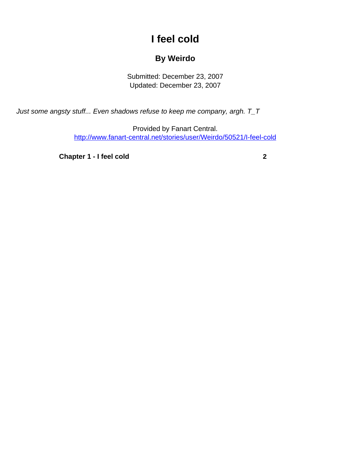## **I feel cold**

## **By Weirdo**

Submitted: December 23, 2007 Updated: December 23, 2007

<span id="page-0-0"></span>Just some angsty stuff... Even shadows refuse to keep me company, argh. T\_T

Provided by Fanart Central. [http://www.fanart-central.net/stories/user/Weirdo/50521/I-feel-cold](#page-0-0)

**[Chapter 1 - I feel cold](#page-1-0)** [2](#page-1-0)